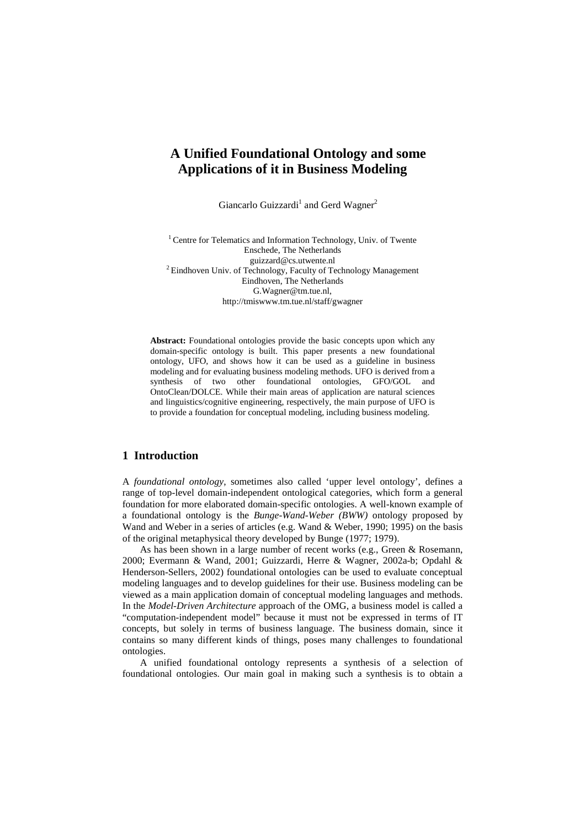# **A Unified Foundational Ontology and some Applications of it in Business Modeling**

Giancarlo Guizzardi<sup>1</sup> and Gerd Wagner<sup>2</sup>

<sup>1</sup> Centre for Telematics and Information Technology, Univ. of Twente Enschede, The Netherlands guizzard@cs.utwente.nl <sup>2</sup> Eindhoven Univ. of Technology, Faculty of Technology Management Eindhoven, The Netherlands G.Wagner@tm.tue.nl, http://tmiswww.tm.tue.nl/staff/gwagner

**Abstract:** Foundational ontologies provide the basic concepts upon which any domain-specific ontology is built. This paper presents a new foundational ontology, UFO, and shows how it can be used as a guideline in business modeling and for evaluating business modeling methods. UFO is derived from a synthesis of two other foundational ontologies, GFO/GOL and OntoClean/DOLCE. While their main areas of application are natural sciences and linguistics/cognitive engineering, respectively, the main purpose of UFO is to provide a foundation for conceptual modeling, including business modeling.

### **1 Introduction**

A *foundational ontology*, sometimes also called 'upper level ontology', defines a range of top-level domain-independent ontological categories, which form a general foundation for more elaborated domain-specific ontologies. A well-known example of a foundational ontology is the *Bunge-Wand-Weber (BWW)* ontology proposed by Wand and Weber in a series of articles (e.g. Wand & Weber, 1990; 1995) on the basis of the original metaphysical theory developed by Bunge (1977; 1979).

As has been shown in a large number of recent works (e.g., Green & Rosemann, 2000; Evermann & Wand, 2001; Guizzardi, Herre & Wagner, 2002a-b; Opdahl & Henderson-Sellers, 2002) foundational ontologies can be used to evaluate conceptual modeling languages and to develop guidelines for their use. Business modeling can be viewed as a main application domain of conceptual modeling languages and methods. In the *Model-Driven Architecture* approach of the OMG, a business model is called a "computation-independent model" because it must not be expressed in terms of IT concepts, but solely in terms of business language. The business domain, since it contains so many different kinds of things, poses many challenges to foundational ontologies.

A unified foundational ontology represents a synthesis of a selection of foundational ontologies. Our main goal in making such a synthesis is to obtain a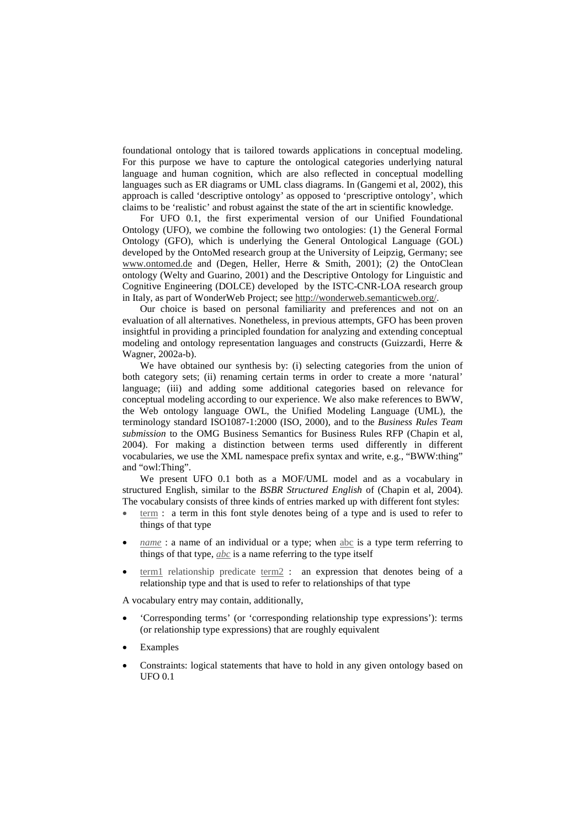foundational ontology that is tailored towards applications in conceptual modeling. For this purpose we have to capture the ontological categories underlying natural language and human cognition, which are also reflected in conceptual modelling languages such as ER diagrams or UML class diagrams. In (Gangemi et al, 2002), this approach is called 'descriptive ontology' as opposed to 'prescriptive ontology', which claims to be 'realistic' and robust against the state of the art in scientific knowledge.

For UFO 0.1, the first experimental version of our Unified Foundational Ontology (UFO), we combine the following two ontologies: (1) the General Formal Ontology (GFO), which is underlying the General Ontological Language (GOL) developed by the OntoMed research group at the University of Leipzig, Germany; see www.ontomed.de and (Degen, Heller, Herre & Smith, 2001); (2) the OntoClean ontology (Welty and Guarino, 2001) and the Descriptive Ontology for Linguistic and Cognitive Engineering (DOLCE) developed by the ISTC-CNR-LOA research group in Italy, as part of WonderWeb Project; see http://wonderweb.semanticweb.org/.

Our choice is based on personal familiarity and preferences and not on an evaluation of all alternatives. Nonetheless, in previous attempts, GFO has been proven insightful in providing a principled foundation for analyzing and extending conceptual modeling and ontology representation languages and constructs (Guizzardi, Herre & Wagner, 2002a-b).

We have obtained our synthesis by: (i) selecting categories from the union of both category sets; (ii) renaming certain terms in order to create a more 'natural' language; (iii) and adding some additional categories based on relevance for conceptual modeling according to our experience. We also make references to BWW, the Web ontology language OWL, the Unified Modeling Language (UML), the terminology standard ISO1087-1:2000 (ISO, 2000), and to the *Business Rules Team submission* to the OMG Business Semantics for Business Rules RFP (Chapin et al, 2004). For making a distinction between terms used differently in different vocabularies, we use the XML namespace prefix syntax and write, e.g., "BWW:thing" and "owl:Thing".

We present UFO 0.1 both as a MOF/UML model and as a vocabulary in structured English, similar to the *BSBR Structured English* of (Chapin et al, 2004). The vocabulary consists of three kinds of entries marked up with different font styles:

- term : a term in this font style denotes being of a type and is used to refer to things of that type
- *name* : a name of an individual or a type; when abc is a type term referring to things of that type, *abc* is a name referring to the type itself
- term1 relationship predicate term2 : an expression that denotes being of a relationship type and that is used to refer to relationships of that type

A vocabulary entry may contain, additionally,

- 'Corresponding terms' (or 'corresponding relationship type expressions'): terms (or relationship type expressions) that are roughly equivalent
- Examples
- Constraints: logical statements that have to hold in any given ontology based on UFO 0.1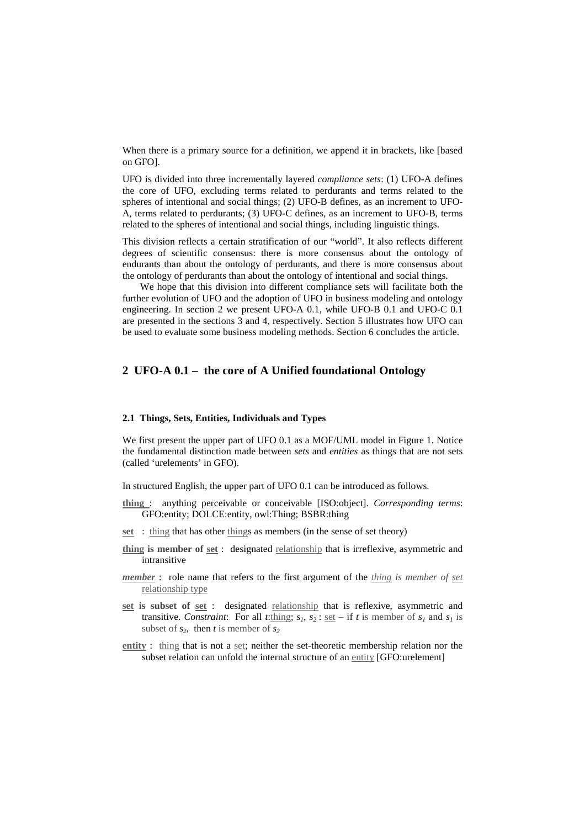When there is a primary source for a definition, we append it in brackets, like [based on GFO].

UFO is divided into three incrementally layered *compliance sets*: (1) UFO-A defines the core of UFO, excluding terms related to perdurants and terms related to the spheres of intentional and social things; (2) UFO-B defines, as an increment to UFO-A, terms related to perdurants; (3) UFO-C defines, as an increment to UFO-B, terms related to the spheres of intentional and social things, including linguistic things.

This division reflects a certain stratification of our "world". It also reflects different degrees of scientific consensus: there is more consensus about the ontology of endurants than about the ontology of perdurants, and there is more consensus about the ontology of perdurants than about the ontology of intentional and social things.

We hope that this division into different compliance sets will facilitate both the further evolution of UFO and the adoption of UFO in business modeling and ontology engineering. In section 2 we present UFO-A 0.1, while UFO-B 0.1 and UFO-C 0.1 are presented in the sections 3 and 4, respectively. Section 5 illustrates how UFO can be used to evaluate some business modeling methods. Section 6 concludes the article.

# **2 UFO-A 0.1 – the core of A Unified foundational Ontology**

#### **2.1 Things, Sets, Entities, Individuals and Types**

We first present the upper part of UFO 0.1 as a MOF/UML model in Figure 1. Notice the fundamental distinction made between *sets* and *entities* as things that are not sets (called 'urelements' in GFO).

In structured English, the upper part of UFO 0.1 can be introduced as follows.

- **thing** : anything perceivable or conceivable [ISO:object]. *Corresponding terms*: GFO:entity; DOLCE:entity, owl:Thing; BSBR:thing
- **set** : thing that has other things as members (in the sense of set theory)
- **thing is member of set** : designated relationship that is irreflexive, asymmetric and intransitive
- *member* : role name that refers to the first argument of the *thing is member of set* relationship type
- **set is subset of set** : designated relationship that is reflexive, asymmetric and transitive. *Constraint*: For all *t*:thing;  $s_1$ ,  $s_2$ : <u>set</u> – if *t* is member of  $s_1$  and  $s_1$  is subset of  $s_2$ , then *t* is member of  $s_2$
- **entity** : thing that is not a set; neither the set-theoretic membership relation nor the subset relation can unfold the internal structure of an entity [GFO:urelement]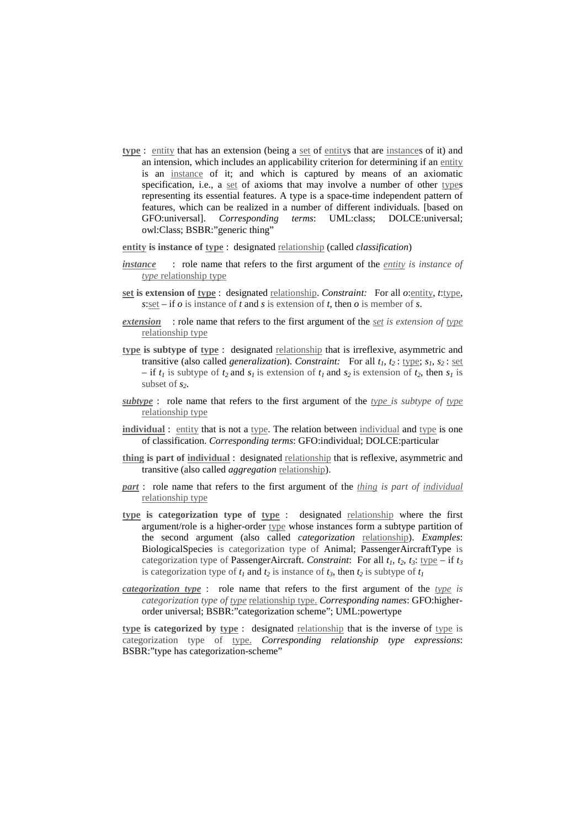- **type** : entity that has an extension (being a set of entitys that are instances of it) and an intension, which includes an applicability criterion for determining if an entity is an instance of it; and which is captured by means of an axiomatic specification, i.e., a set of axioms that may involve a number of other types representing its essential features. A type is a space-time independent pattern of features, which can be realized in a number of different individuals. [based on GFO:universal]. *Corresponding terms*: UML:class; DOLCE:universal; owl:Class; BSBR:"generic thing"
- **entity is instance of type** : designated relationship (called *classification*)
- *instance* : role name that refers to the first argument of the *entity is instance of type* relationship type
- **set is extension of type** : designated relationship. *Constraint:* For all *o*:entity, *t*:type,  $s: set - if o is instance of t and s is extension of t, then o is member of s.$
- *extension* : role name that refers to the first argument of the *set is extension of type* relationship type
- **type is subtype of type** : designated relationship that is irreflexive, asymmetric and transitive (also called *generalization*). *Constraint:* For all  $t_1$ ,  $t_2$ ; type;  $s_1$ ,  $s_2$ ; set  $-$  if  $t_1$  is subtype of  $t_2$  and  $s_1$  is extension of  $t_1$  and  $s_2$  is extension of  $t_2$ , then  $s_1$  is subset of *s2*.
- *subtype* : role name that refers to the first argument of the *type is subtype of type* relationship type
- **individual** : entity that is not a type. The relation between individual and type is one of classification. *Corresponding terms*: GFO:individual; DOLCE:particular
- **thing is part of individual** : designated relationship that is reflexive, asymmetric and transitive (also called *aggregation* relationship).
- *part* : role name that refers to the first argument of the *thing is part of individual* relationship type
- **type is categorization type of type** : designated relationship where the first argument/role is a higher-order type whose instances form a subtype partition of the second argument (also called *categorization* relationship). *Examples*: BiologicalSpecies is categorization type of Animal; PassengerAircraftType is categorization type of PassengerAircraft. *Constraint*: For all  $t_1$ ,  $t_2$ ,  $t_3$ : type – if  $t_3$ is categorization type of  $t_1$  and  $t_2$  is instance of  $t_3$ , then  $t_2$  is subtype of  $t_1$
- *categorization type* : role name that refers to the first argument of the *type is categorization type of <u>type</u>* relationship type. *Corresponding names*: GFO:higherorder universal; BSBR:"categorization scheme"; UML:powertype

**type is categorized by type** : designated relationship that is the inverse of type is categorization type of type. *Corresponding relationship type expressions*: BSBR:"type has categorization-scheme"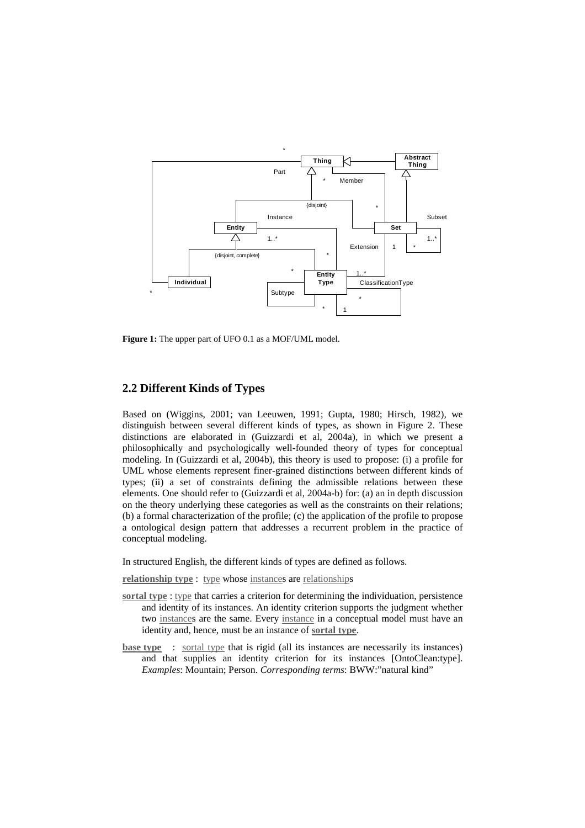

**Figure 1:** The upper part of UFO 0.1 as a MOF/UML model.

### **2.2 Different Kinds of Types**

Based on (Wiggins, 2001; van Leeuwen, 1991; Gupta, 1980; Hirsch, 1982), we distinguish between several different kinds of types, as shown in Figure 2. These distinctions are elaborated in (Guizzardi et al, 2004a), in which we present a philosophically and psychologically well-founded theory of types for conceptual modeling. In (Guizzardi et al, 2004b), this theory is used to propose: (i) a profile for UML whose elements represent finer-grained distinctions between different kinds of types; (ii) a set of constraints defining the admissible relations between these elements. One should refer to (Guizzardi et al, 2004a-b) for: (a) an in depth discussion on the theory underlying these categories as well as the constraints on their relations; (b) a formal characterization of the profile; (c) the application of the profile to propose a ontological design pattern that addresses a recurrent problem in the practice of conceptual modeling.

In structured English, the different kinds of types are defined as follows.

**relationship type** : type whose instances are relationships

- **sortal type** : type that carries a criterion for determining the individuation, persistence and identity of its instances. An identity criterion supports the judgment whether two instances are the same. Every instance in a conceptual model must have an identity and, hence, must be an instance of **sortal type**.
- **base type** : sortal type that is rigid (all its instances are necessarily its instances) and that supplies an identity criterion for its instances [OntoClean:type]. *Examples*: Mountain; Person. *Corresponding terms*: BWW:"natural kind"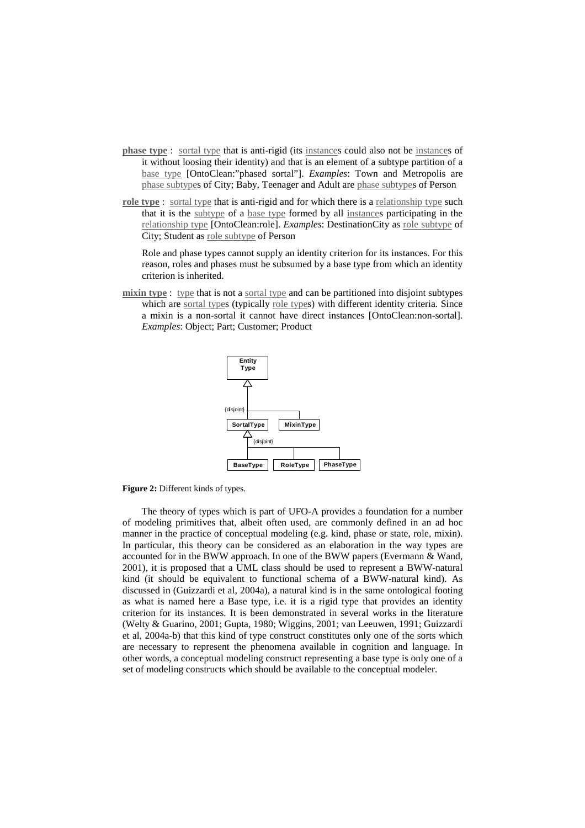- **phase type** : sortal type that is anti-rigid (its instances could also not be instances of it without loosing their identity) and that is an element of a subtype partition of a base type [OntoClean:"phased sortal"]. *Examples*: Town and Metropolis are phase subtypes of City; Baby, Teenager and Adult are phase subtypes of Person
- **role type** : sortal type that is anti-rigid and for which there is a relationship type such that it is the subtype of a base type formed by all instances participating in the relationship type [OntoClean:role]. *Examples*: DestinationCity as role subtype of City; Student as role subtype of Person

Role and phase types cannot supply an identity criterion for its instances. For this reason, roles and phases must be subsumed by a base type from which an identity criterion is inherited.

**mixin type** : type that is not a sortal type and can be partitioned into disjoint subtypes which are sortal types (typically role types) with different identity criteria. Since a mixin is a non-sortal it cannot have direct instances [OntoClean:non-sortal]. *Examples*: Object; Part; Customer; Product





The theory of types which is part of UFO-A provides a foundation for a number of modeling primitives that, albeit often used, are commonly defined in an ad hoc manner in the practice of conceptual modeling (e.g. kind, phase or state, role, mixin). In particular, this theory can be considered as an elaboration in the way types are accounted for in the BWW approach. In one of the BWW papers (Evermann & Wand, 2001), it is proposed that a UML class should be used to represent a BWW-natural kind (it should be equivalent to functional schema of a BWW-natural kind). As discussed in (Guizzardi et al, 2004a), a natural kind is in the same ontological footing as what is named here a Base type, i.e. it is a rigid type that provides an identity criterion for its instances. It is been demonstrated in several works in the literature (Welty & Guarino, 2001; Gupta, 1980; Wiggins, 2001; van Leeuwen, 1991; Guizzardi et al, 2004a-b) that this kind of type construct constitutes only one of the sorts which are necessary to represent the phenomena available in cognition and language. In other words, a conceptual modeling construct representing a base type is only one of a set of modeling constructs which should be available to the conceptual modeler.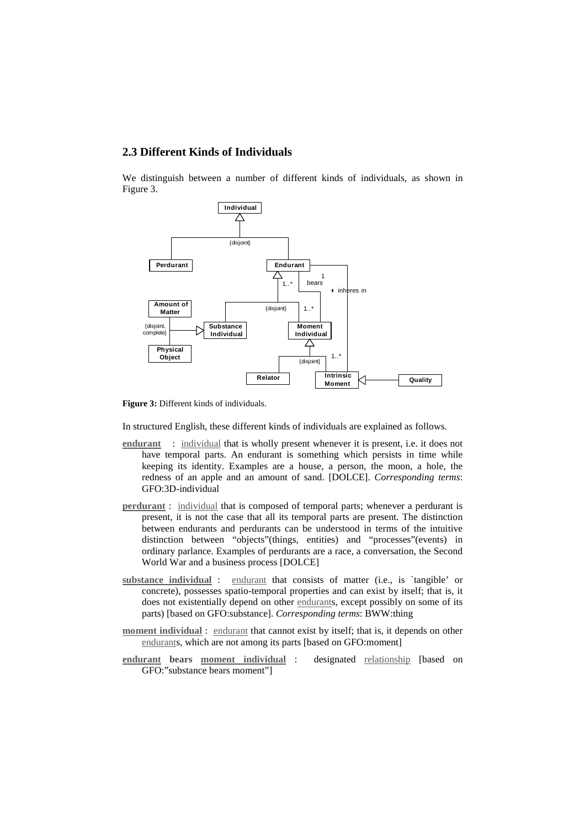### **2.3 Different Kinds of Individuals**

We distinguish between a number of different kinds of individuals, as shown in Figure 3.



**Figure 3:** Different kinds of individuals.

In structured English, these different kinds of individuals are explained as follows.

- **endurant** : individual that is wholly present whenever it is present, i.e. it does not have temporal parts. An endurant is something which persists in time while keeping its identity. Examples are a house, a person, the moon, a hole, the redness of an apple and an amount of sand. [DOLCE]. *Corresponding terms*: GFO:3D-individual
- **perdurant** : individual that is composed of temporal parts; whenever a perdurant is present, it is not the case that all its temporal parts are present. The distinction between endurants and perdurants can be understood in terms of the intuitive distinction between "objects"(things, entities) and "processes"(events) in ordinary parlance. Examples of perdurants are a race, a conversation, the Second World War and a business process [DOLCE]
- **substance individual** : endurant that consists of matter (i.e., is `tangible' or concrete), possesses spatio-temporal properties and can exist by itself; that is, it does not existentially depend on other endurants, except possibly on some of its parts) [based on GFO:substance]. *Corresponding terms*: BWW:thing
- **moment individual** : endurant that cannot exist by itself; that is, it depends on other endurants, which are not among its parts [based on GFO:moment]
- **endurant bears moment individual** : designated relationship [based on GFO:"substance bears moment"]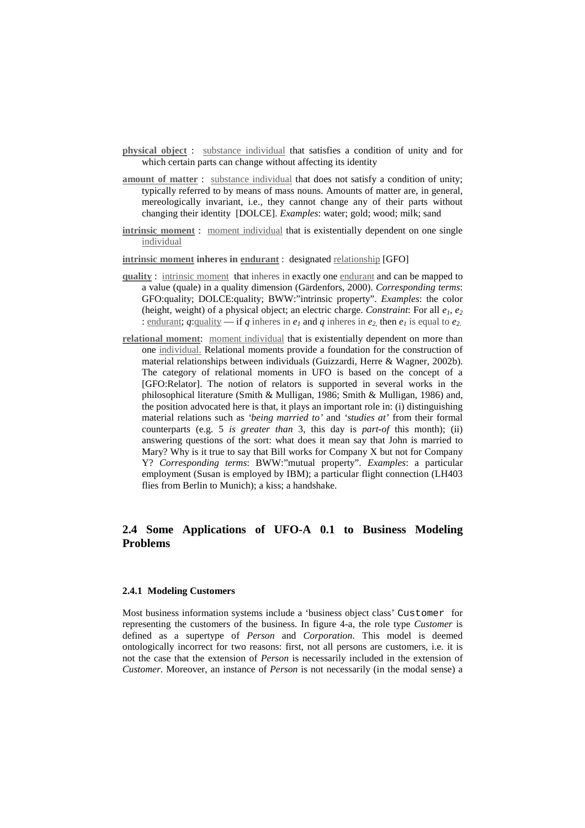- **physical object** : substance individual that satisfies a condition of unity and for which certain parts can change without affecting its identity
- **amount** of matter : substance individual that does not satisfy a condition of unity; typically referred to by means of mass nouns. Amounts of matter are, in general, mereologically invariant, i.e., they cannot change any of their parts without changing their identity [DOLCE]. *Examples*: water; gold; wood; milk; sand
- **intrinsic moment** : moment individual that is existentially dependent on one single individual
- **intrinsic moment inheres in endurant** : designated relationship [GFO]
- **quality** : intrinsic moment that inheres in exactly one endurant and can be mapped to a value (quale) in a quality dimension (Gärdenfors, 2000). *Corresponding terms*: GFO:quality; DOLCE:quality; BWW:"intrinsic property". *Examples*: the color (height, weight) of a physical object; an electric charge. *Constraint*: For all *e1*, *e<sup>2</sup>* : endurant;  $q$ :quality — if  $q$  inheres in  $e_1$  and  $q$  inheres in  $e_2$ , then  $e_1$  is equal to  $e_2$ .
- **relational moment**: moment individual that is existentially dependent on more than one individual. Relational moments provide a foundation for the construction of material relationships between individuals (Guizzardi, Herre & Wagner, 2002b). The category of relational moments in UFO is based on the concept of a [GFO:Relator]. The notion of relators is supported in several works in the philosophical literature (Smith & Mulligan, 1986; Smith & Mulligan, 1986) and, the position advocated here is that, it plays an important role in: (i) distinguishing material relations such as *'being married to'* and *'studies at'* from their formal counterparts (e.g. 5 *is greater than* 3, this day is *part-of* this month); (ii) answering questions of the sort: what does it mean say that John is married to Mary? Why is it true to say that Bill works for Company X but not for Company Y? *Corresponding terms*: BWW:"mutual property". *Examples*: a particular employment (Susan is employed by IBM); a particular flight connection (LH403 flies from Berlin to Munich); a kiss; a handshake.

## **2.4 Some Applications of UFO-A 0.1 to Business Modeling Problems**

#### **2.4.1 Modeling Customers**

Most business information systems include a 'business object class' Customer for representing the customers of the business. In figure 4-a, the role type *Customer* is defined as a supertype of *Person* and *Corporation*. This model is deemed ontologically incorrect for two reasons: first, not all persons are customers, i.e. it is not the case that the extension of *Person* is necessarily included in the extension of *Customer*. Moreover, an instance of *Person* is not necessarily (in the modal sense) a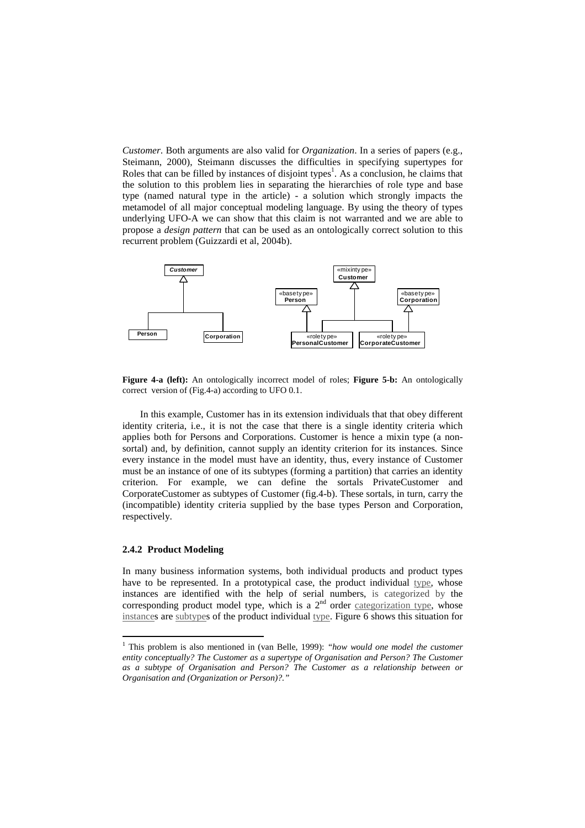*Customer*. Both arguments are also valid for *Organization*. In a series of papers (e.g., Steimann, 2000), Steimann discusses the difficulties in specifying supertypes for Roles that can be filled by instances of disjoint types<sup>1</sup>. As a conclusion, he claims that the solution to this problem lies in separating the hierarchies of role type and base type (named natural type in the article) - a solution which strongly impacts the metamodel of all major conceptual modeling language. By using the theory of types underlying UFO-A we can show that this claim is not warranted and we are able to propose a *design pattern* that can be used as an ontologically correct solution to this recurrent problem (Guizzardi et al, 2004b).



**Figure 4-a (left):** An ontologically incorrect model of roles; **Figure 5-b:** An ontologically correct version of (Fig.4-a) according to UFO 0.1.

In this example, Customer has in its extension individuals that that obey different identity criteria, i.e., it is not the case that there is a single identity criteria which applies both for Persons and Corporations. Customer is hence a mixin type (a nonsortal) and, by definition, cannot supply an identity criterion for its instances. Since every instance in the model must have an identity, thus, every instance of Customer must be an instance of one of its subtypes (forming a partition) that carries an identity criterion. For example, we can define the sortals PrivateCustomer and CorporateCustomer as subtypes of Customer (fig.4-b). These sortals, in turn, carry the (incompatible) identity criteria supplied by the base types Person and Corporation, respectively.

#### **2.4.2 Product Modeling**

In many business information systems, both individual products and product types have to be represented. In a prototypical case, the product individual type, whose instances are identified with the help of serial numbers, is categorized by the corresponding product model type, which is a  $2<sup>nd</sup>$  order categorization type, whose instances are subtypes of the product individual type. Figure 6 shows this situation for

<sup>1</sup> This problem is also mentioned in (van Belle, 1999): *"how would one model the customer entity conceptually? The Customer as a supertype of Organisation and Person? The Customer as a subtype of Organisation and Person? The Customer as a relationship between or Organisation and (Organization or Person)?."*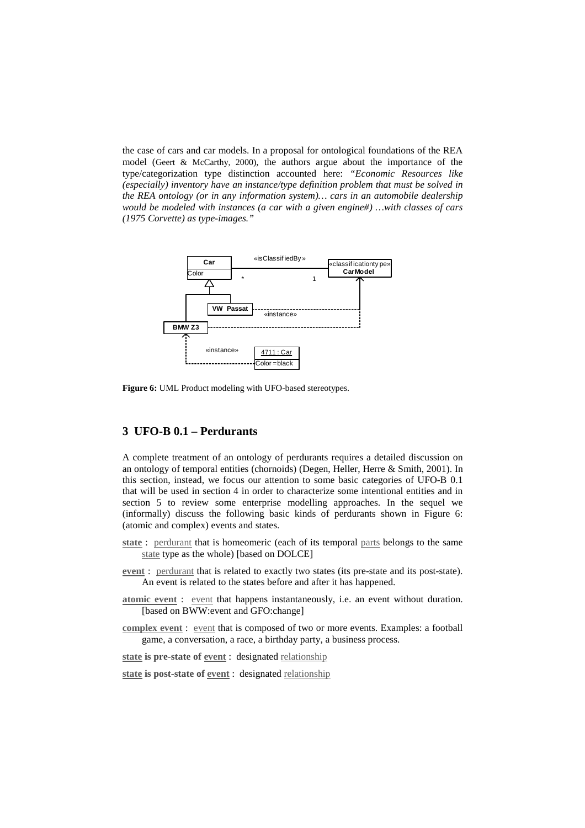the case of cars and car models. In a proposal for ontological foundations of the REA model (Geert & McCarthy, 2000), the authors argue about the importance of the type/categorization type distinction accounted here: *"Economic Resources like (especially) inventory have an instance/type definition problem that must be solved in the REA ontology (or in any information system)… cars in an automobile dealership would be modeled with instances (a car with a given engine#) …with classes of cars (1975 Corvette) as type-images."*



**Figure 6:** UML Product modeling with UFO-based stereotypes.

### **3 UFO-B 0.1 – Perdurants**

A complete treatment of an ontology of perdurants requires a detailed discussion on an ontology of temporal entities (chornoids) (Degen, Heller, Herre & Smith, 2001). In this section, instead, we focus our attention to some basic categories of UFO-B 0.1 that will be used in section 4 in order to characterize some intentional entities and in section 5 to review some enterprise modelling approaches. In the sequel we (informally) discuss the following basic kinds of perdurants shown in Figure 6: (atomic and complex) events and states.

- **state** : perdurant that is homeomeric (each of its temporal parts belongs to the same state type as the whole) [based on DOLCE]
- **event** : perdurant that is related to exactly two states (its pre-state and its post-state). An event is related to the states before and after it has happened.
- **atomic event** : event that happens instantaneously, i.e. an event without duration. [based on BWW:event and GFO:change]
- **complex event** : event that is composed of two or more events. Examples: a football game, a conversation, a race, a birthday party, a business process.
- **state is pre-state of event** : designated relationship
- **state is post-state of event** : designated relationship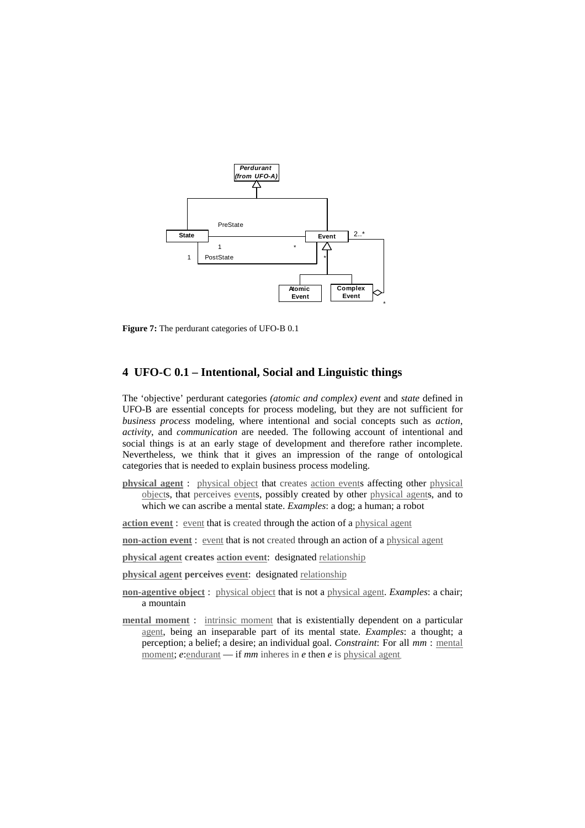

**Figure 7:** The perdurant categories of UFO-B 0.1

### **4 UFO-C 0.1 – Intentional, Social and Linguistic things**

The 'objective' perdurant categories *(atomic and complex) event* and *state* defined in UFO-B are essential concepts for process modeling, but they are not sufficient for *business process* modeling, where intentional and social concepts such as *action*, *activity*, and *communication* are needed. The following account of intentional and social things is at an early stage of development and therefore rather incomplete. Nevertheless, we think that it gives an impression of the range of ontological categories that is needed to explain business process modeling.

**physical agent** : physical object that creates action events affecting other physical objects, that perceives events, possibly created by other physical agents, and to which we can ascribe a mental state. *Examples*: a dog; a human; a robot

**action event** : event that is created through the action of a physical agent

**non-action event** : event that is not created through an action of a physical agent

**physical agent creates action event**: designated relationship

**physical agent perceives event**: designated relationship

- **non-agentive object** : physical object that is not a physical agent. *Examples*: a chair; a mountain
- **mental moment** : intrinsic moment that is existentially dependent on a particular agent, being an inseparable part of its mental state. *Examples*: a thought; a perception; a belief; a desire; an individual goal. *Constraint*: For all *mm* : mental moment; *e*: endurant — if *mm* inheres in *e* then *e* is physical agent.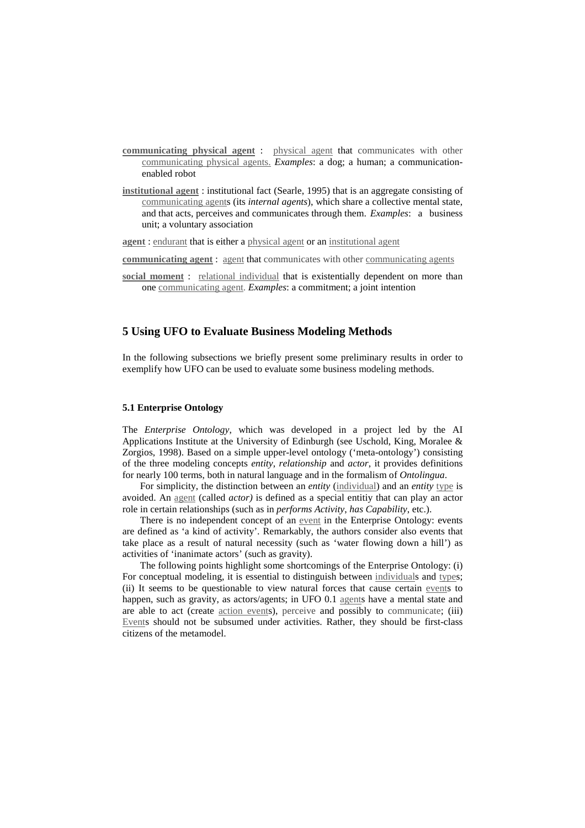- **communicating physical agent** : physical agent that communicates with other communicating physical agents. *Examples*: a dog; a human; a communicationenabled robot
- **institutional agent** : institutional fact (Searle, 1995) that is an aggregate consisting of communicating agents (its *internal agents*), which share a collective mental state, and that acts, perceives and communicates through them. *Examples*: a business unit; a voluntary association

**agent** : endurant that is either a physical agent or an institutional agent

**communicating agent** : agent that communicates with other communicating agents

**social moment** : relational individual that is existentially dependent on more than one communicating agent. *Examples*: a commitment; a joint intention

# **5 Using UFO to Evaluate Business Modeling Methods**

In the following subsections we briefly present some preliminary results in order to exemplify how UFO can be used to evaluate some business modeling methods.

#### **5.1 Enterprise Ontology**

The *Enterprise Ontology*, which was developed in a project led by the AI Applications Institute at the University of Edinburgh (see Uschold, King, Moralee  $\&$ Zorgios, 1998). Based on a simple upper-level ontology ('meta-ontology') consisting of the three modeling concepts *entity*, *relationship* and *actor*, it provides definitions for nearly 100 terms, both in natural language and in the formalism of *Ontolingua*.

For simplicity, the distinction between an *entity* (individual) and an *entity* type is avoided. An agent (called *actor)* is defined as a special entitiy that can play an actor role in certain relationships (such as in *performs Activity*, *has Capability*, etc.).

There is no independent concept of an event in the Enterprise Ontology: events are defined as 'a kind of activity'. Remarkably, the authors consider also events that take place as a result of natural necessity (such as 'water flowing down a hill') as activities of 'inanimate actors' (such as gravity).

The following points highlight some shortcomings of the Enterprise Ontology: (i) For conceptual modeling, it is essential to distinguish between individuals and types: (ii) It seems to be questionable to view natural forces that cause certain events to happen, such as gravity, as actors/agents; in UFO 0.1 agents have a mental state and are able to act (create action events), perceive and possibly to communicate; (iii) Events should not be subsumed under activities. Rather, they should be first-class citizens of the metamodel.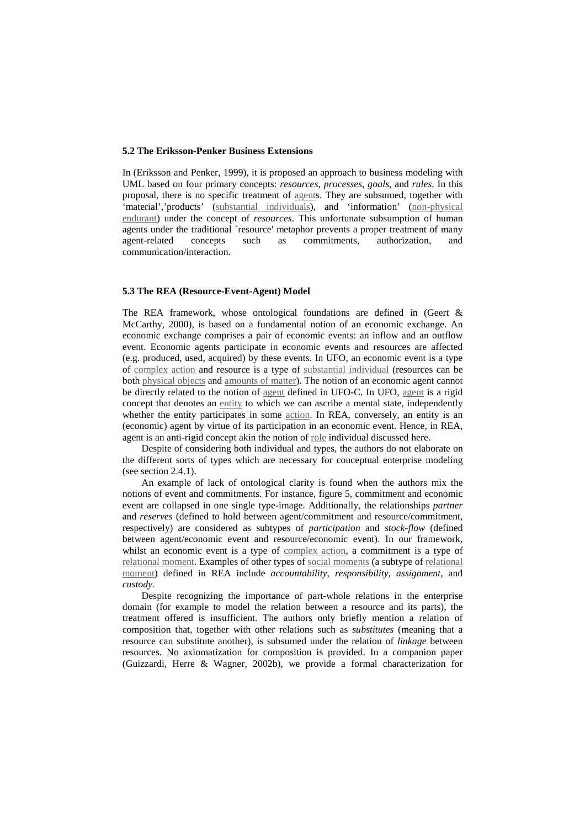#### **5.2 The Eriksson-Penker Business Extensions**

In (Eriksson and Penker, 1999), it is proposed an approach to business modeling with UML based on four primary concepts: *resources*, *processes*, *goals*, and *rules*. In this proposal, there is no specific treatment of agents. They are subsumed, together with 'material','products' (substantial individuals), and 'information' (non-physical endurant) under the concept of *resources*. This unfortunate subsumption of human agents under the traditional `resource' metaphor prevents a proper treatment of many agent-related concepts such as commitments, authorization, and communication/interaction.

#### **5.3 The REA (Resource-Event-Agent) Model**

The REA framework, whose ontological foundations are defined in (Geert & McCarthy, 2000), is based on a fundamental notion of an economic exchange. An economic exchange comprises a pair of economic events: an inflow and an outflow event. Economic agents participate in economic events and resources are affected (e.g. produced, used, acquired) by these events. In UFO, an economic event is a type of complex action and resource is a type of substantial individual (resources can be both physical objects and amounts of matter). The notion of an economic agent cannot be directly related to the notion of agent defined in UFO-C. In UFO, agent is a rigid concept that denotes an entity to which we can ascribe a mental state, independently whether the entity participates in some <u>action</u>. In REA, conversely, an entity is an (economic) agent by virtue of its participation in an economic event. Hence, in REA, agent is an anti-rigid concept akin the notion of role individual discussed here.

Despite of considering both individual and types, the authors do not elaborate on the different sorts of types which are necessary for conceptual enterprise modeling (see section 2.4.1).

An example of lack of ontological clarity is found when the authors mix the notions of event and commitments. For instance, figure 5, commitment and economic event are collapsed in one single type-image. Additionally, the relationships *partner* and *reserves* (defined to hold between agent/commitment and resource/commitment, respectively) are considered as subtypes of *participation* and *stock-flow* (defined between agent/economic event and resource/economic event). In our framework, whilst an economic event is a type of complex action, a commitment is a type of relational moment. Examples of other types of social moments (a subtype of relational moment) defined in REA include *accountability*, *responsibility*, *assignment*, and *custody*.

Despite recognizing the importance of part-whole relations in the enterprise domain (for example to model the relation between a resource and its parts), the treatment offered is insufficient. The authors only briefly mention a relation of composition that, together with other relations such as *substitutes* (meaning that a resource can substitute another), is subsumed under the relation of *linkage* between resources. No axiomatization for composition is provided. In a companion paper (Guizzardi, Herre & Wagner, 2002b), we provide a formal characterization for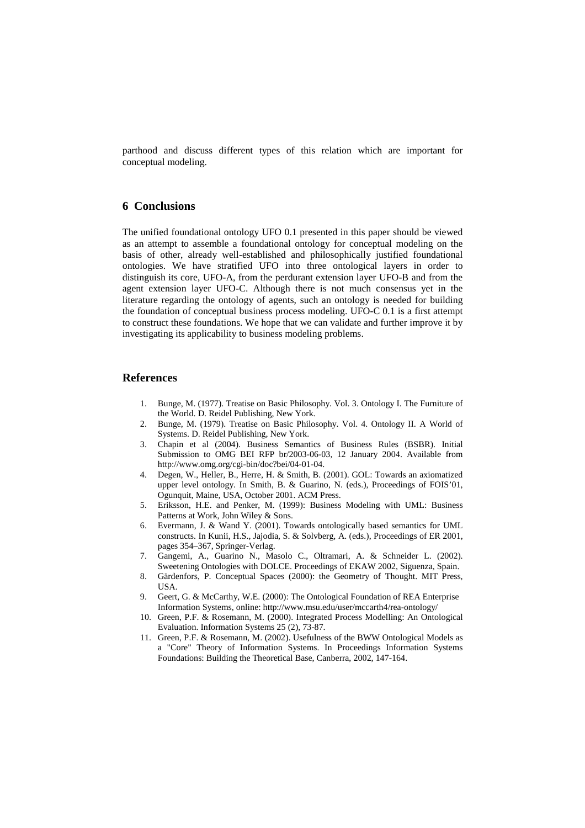parthood and discuss different types of this relation which are important for conceptual modeling.

### **6 Conclusions**

The unified foundational ontology UFO 0.1 presented in this paper should be viewed as an attempt to assemble a foundational ontology for conceptual modeling on the basis of other, already well-established and philosophically justified foundational ontologies. We have stratified UFO into three ontological layers in order to distinguish its core, UFO-A, from the perdurant extension layer UFO-B and from the agent extension layer UFO-C. Although there is not much consensus yet in the literature regarding the ontology of agents, such an ontology is needed for building the foundation of conceptual business process modeling. UFO-C 0.1 is a first attempt to construct these foundations. We hope that we can validate and further improve it by investigating its applicability to business modeling problems.

### **References**

- 1. Bunge, M. (1977). Treatise on Basic Philosophy. Vol. 3. Ontology I. The Furniture of the World. D. Reidel Publishing, New York.
- 2. Bunge, M. (1979). Treatise on Basic Philosophy. Vol. 4. Ontology II. A World of Systems. D. Reidel Publishing, New York.
- 3. Chapin et al (2004). Business Semantics of Business Rules (BSBR). Initial Submission to OMG BEI RFP br/2003-06-03, 12 January 2004. Available from http://www.omg.org/cgi-bin/doc?bei/04-01-04.
- 4. Degen, W., Heller, B., Herre, H. & Smith, B. (2001). GOL: Towards an axiomatized upper level ontology. In Smith, B. & Guarino, N. (eds.), Proceedings of FOIS'01, Ogunquit, Maine, USA, October 2001. ACM Press.
- 5. Eriksson, H.E. and Penker, M. (1999): Business Modeling with UML: Business Patterns at Work, John Wiley & Sons.
- 6. Evermann, J. & Wand Y. (2001). Towards ontologically based semantics for UML constructs. In Kunii, H.S., Jajodia, S. & Solvberg, A. (eds.), Proceedings of ER 2001, pages 354–367, Springer-Verlag.
- 7. Gangemi, A., Guarino N., Masolo C., Oltramari, A. & Schneider L. (2002). Sweetening Ontologies with DOLCE. Proceedings of EKAW 2002, Siguenza, Spain.
- 8. Gärdenfors, P. Conceptual Spaces (2000): the Geometry of Thought. MIT Press, USA.
- 9. Geert, G. & McCarthy, W.E. (2000): The Ontological Foundation of REA Enterprise Information Systems, online: http://www.msu.edu/user/mccarth4/rea-ontology/
- 10. Green, P.F. & Rosemann, M. (2000). Integrated Process Modelling: An Ontological Evaluation. Information Systems 25 (2), 73-87.
- 11. Green, P.F. & Rosemann, M. (2002). Usefulness of the BWW Ontological Models as a "Core" Theory of Information Systems. In Proceedings Information Systems Foundations: Building the Theoretical Base, Canberra, 2002, 147-164.